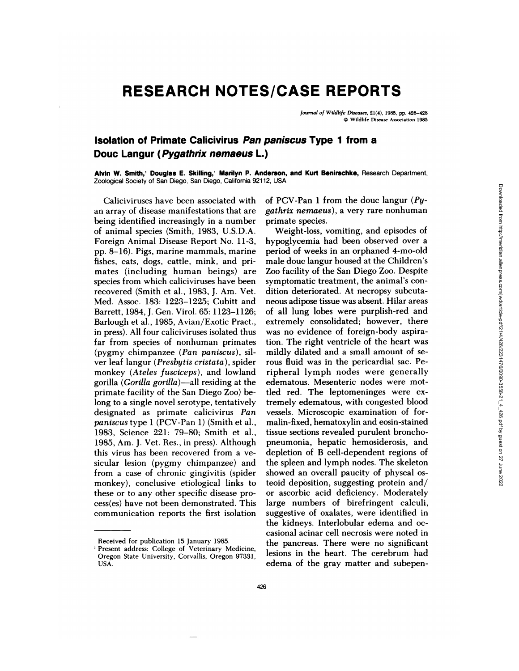## **RESEARCH NOTES/CASE REPORTS**

*Journal of Wildlife Diseases,* 21(4), 1985, **pp.** 426-428 © Wildlife Disease Association 1985

## **Isolation of Primate Calicivirus Pan paniscus Type 1 from a Douc Langur (Pygathrix nemaeus L.)**

**Alvin W. Smith,' Douglas E. Skilling,'** Marilyn **P. Anderson, and** Kurt Benirschke, Research Department, Zoological Society of San Diego, San Diego, California 92112, USA

Calicivinuses have been associated with an array of disease manifestations that are being identified increasingly in a number of animal species (Smith, 1983, U.S.D.A. Foreign Animal Disease Report No. 11-3, pp. 8-16). Pigs, marine mammals, marine fishes, cats, dogs, cattle, mink, and primates (including human beings) are species from which caliciviruses have been recovered (Smith et a!., 1983, J. Am. Vet. Med. Assoc. 183: 1223-1225; Cubitt and Barrett, 1984, J. Gen. Viro!. 65: 1123-1126; Barlough et al., 1985, Avian/Exotic Pract., in press). Al! four caliciviruses isolated thus far from species of nonhuman primates (pygmy chimpanzee *(Pan paniscus),* sil ver leaf langur *(Presbytis cristata),* spider monkey *(Ateles fusciceps),* and lowland gorilla *(Gorilla gorilla)-a!!* residing at the primate facility of the San Diego Zoo) belong to a single novel serotype, tentatively designated as primate calicivirus *Pan paniscus* type 1 (PCV-Pan 1) (Smith et al., 1983, Science 221: 79-80; Smith et al., 1985, Am. J. Vet. Res., in press). Although this virus has been recovered from a ve sicular lesion (pygmy chimpanzee) and from a case of chronic gingivitis (spider monkey), conclusive etiological links to these or to any other specific disease process(es) have not been demonstrated. This communication reports the first isolation

of PCV-Pan 1 from the douc langur *(Pygathrix nernaeus),* a very rare nonhuman primate species.

Weight-loss, vomiting, and episodes of hypoglycemia had been observed over a period of weeks in an orphaned 4-mo-old male douc langur housed at the Children's Zoo facility of the San Diego Zoo. Despite symptomatic treatment, the animal's con dition deteriorated. At necropsy subcuta neous adipose tissue was absent. Hilar areas of all lung lobes were purplish-red and extremely consolidated; however, there was no evidence of foreign-body aspiration. The right ventricle of the heart was mildly dilated and a small amount of se nous fluid was in the penicardial sac. Peripheral lymph nodes were generally edematous. Mesentenic nodes were mottled red. The leptomeninges were extremely edematous, with congested blood vessels. Microscopic examination of formalin-fixed, hematoxylin and eosin-stained tissue sections revealed purulent bronchopneumonia, hepatic hemosiderosis, and depletion of B cell-dependent regions of the spleen and lymph nodes. The skeleton showed an overall paucity of physeal osteoid deposition, suggesting protein and/ or ascorbic acid deficiency. Moderately large numbers of birefringent calculi, suggestive of oxalates, were identified in the kidneys. Interlobular edema and oc casional acinar cell necrosis were noted in the pancreas. There were no significant lesions in the heart. The cerebrum had edema of the gray matter and subepen-

Received for publication 15 January 1985.

<sup>&#</sup>x27;Present address: College of Veterinary Medicine, Oregon State University, Corvallis, Oregon 97331, USA.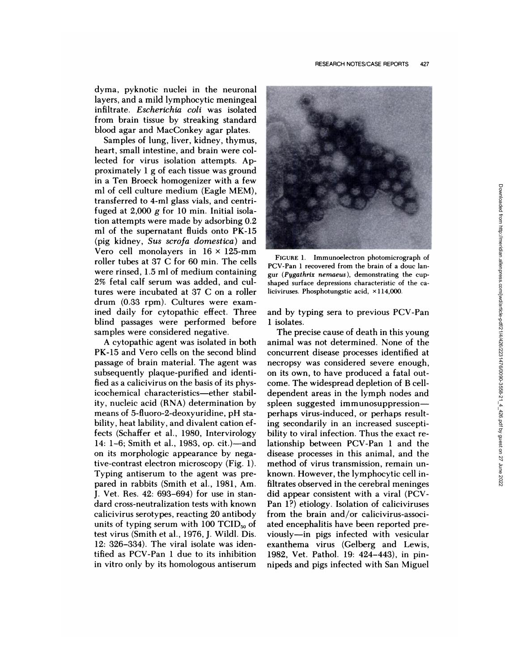dyma, pyknotic nuclei in the neuronal layers, and a mild lymphocytic meningeal infiltrate. *Escherichia coli* was isolated from brain tissue by streaking standard blood agan and MacConkey agan plates.

Samples of lung, liver, kidney, thymus, heart, small intestine, and brain were co! lected for virus isolation attempts. Approximately  $1$  g of each tissue was ground in a Ten Broeck homogenizer with a few ml of cell culture medium (Eagle MEM), transferred to 4-ml glass vials, and centrifuged at  $2,000$  g for 10 min. Initial isolation attempts were made by adsorbing 0.2 ml of the supernatant fluids onto PK-15 (pig kidney, *Sus scrofa domestica)* and Vero cell monolayers in  $16 \times 125$ -mm roller tubes at 37 C for 60 min. The cells were rinsed, 1.5 ml of medium containing 2% fetal calf serum was added, and cu! tures were incubated at 37 C on a roller drum (0.33 rpm). Cultures were examined daily for cytopathic effect. Three blind passages were performed before samples were considered negative.

A cytopathic agent was isolated in both PK-15 and Vero cells on the second blind passage of brain material. The agent was subsequently plaque-purified and identified as a calicivinus on the basis of its physicochemical characteristics—ether stability, nucleic acid (RNA) determination by means of 5-fluoro-2-deoxyunidine, pH sta bility, heat lability, and divalent cation effects (Schaffer et al., 1980, Intervirology 14: 1-6; Smith et al., 1983, op. cit.)-and on its morphologic appearance by negative-contrast electron microscopy (Fig. 1). Typing antiserum to the agent was prepared in rabbits (Smith et al., 1981, Am. J. Vet. Res. 42: 693-694) for use in standard cross-neutralization tests with known calicivirus serotypes, reacting 20 antibody units of typing serum with 100  $TCID_{50}$  of test virus (Smith et a!., 1976, J. Wild!. Dis. 12: 326-334). The viral isolate was identified as PCV-Pan 1 due to its inhibition in vitro only by its homologous antiserum



**FIGURE** 1. Immunoelectron photomicrograph of PCV-Pan 1 recovered from the brain of a douc lan gur *(Pygathrix nemaeus),* demonstrating the cup shaped surface depressions characteristic of the ca liciviruses. Phosphotungstic acid,  $\times$ 114,000.

and by typing sera to previous PCV-Pan 1 isolates.

The precise cause of death in this young animal was not determined. None of the concurrent disease processes identified at necropsy was considered severe enough, on its own, to have produced a fatal out come. The widespread depletion of B celldependent areas in the lymph nodes and spleen suggested immunosuppressionperhaps virus-induced, or perhaps resulting secondarily in an increased susceptibility to viral infection. Thus the exact relationship between PCV-Pan 1 and the disease processes in this animal, and the method of virus transmission, remain un known. However, the !ymphocytic cell infiltrates observed in the cerebral meninges did appear consistent with a viral (PCV-Pan 1?) etiology. Isolation of caliciviruses from the brain and/or calicivirus-associated encephalitis have been reported previously—in pigs infected with vesicular exanthema virus (Gelberg and Lewis, 1982, Vet. Pathol. 19: 424-443), in pinnipeds and pigs infected with San Miguel